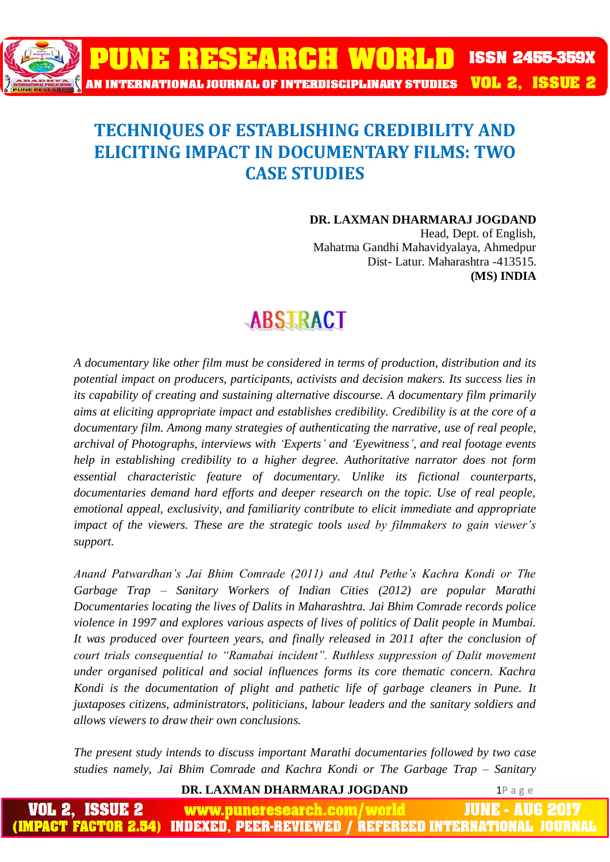

# **TECHNIQUES OF ESTABLISHING CREDIBILITY AND ELICITING IMPACT IN DOCUMENTARY FILMS: TWO CASE STUDIES**

**DR. LAXMAN DHARMARAJ JOGDAND**

Head, Dept. of English, Mahatma Gandhi Mahavidyalaya, Ahmedpur Dist- Latur. Maharashtra -413515. **(MS) INDIA**

# **ABSTRACT**

*A documentary like other film must be considered in terms of production, distribution and its potential impact on producers, participants, activists and decision makers. Its success lies in its capability of creating and sustaining alternative discourse. A documentary film primarily aims at eliciting appropriate impact and establishes credibility. Credibility is at the core of a documentary film. Among many strategies of authenticating the narrative, use of real people, archival of Photographs, interviews with 'Experts' and 'Eyewitness', and real footage events help in establishing credibility to a higher degree. Authoritative narrator does not form essential characteristic feature of documentary. Unlike its fictional counterparts, documentaries demand hard efforts and deeper research on the topic. Use of real people, emotional appeal, exclusivity, and familiarity contribute to elicit immediate and appropriate impact of the viewers. These are the strategic tools used by filmmakers to gain viewer's support.* 

*Anand Patwardhan's Jai Bhim Comrade (2011) and Atul Pethe's Kachra Kondi or The Garbage Trap – Sanitary Workers of Indian Cities (2012) are popular Marathi Documentaries locating the lives of Dalits in Maharashtra. Jai Bhim Comrade records police violence in 1997 and explores various aspects of lives of politics of Dalit people in Mumbai. It was produced over fourteen years, and finally released in 2011 after the conclusion of court trials consequential to "Ramabai incident". Ruthless suppression of Dalit movement under organised political and social influences forms its core thematic concern. Kachra Kondi is the documentation of plight and pathetic life of garbage cleaners in Pune. It juxtaposes citizens, administrators, politicians, labour leaders and the sanitary soldiers and allows viewers to draw their own conclusions.*

*The present study intends to discuss important Marathi documentaries followed by two case studies namely, Jai Bhim Comrade and Kachra Kondi or The Garbage Trap – Sanitary* 

**DR. LAXMAN DHARMARAJ JOGDAND 1P** a g e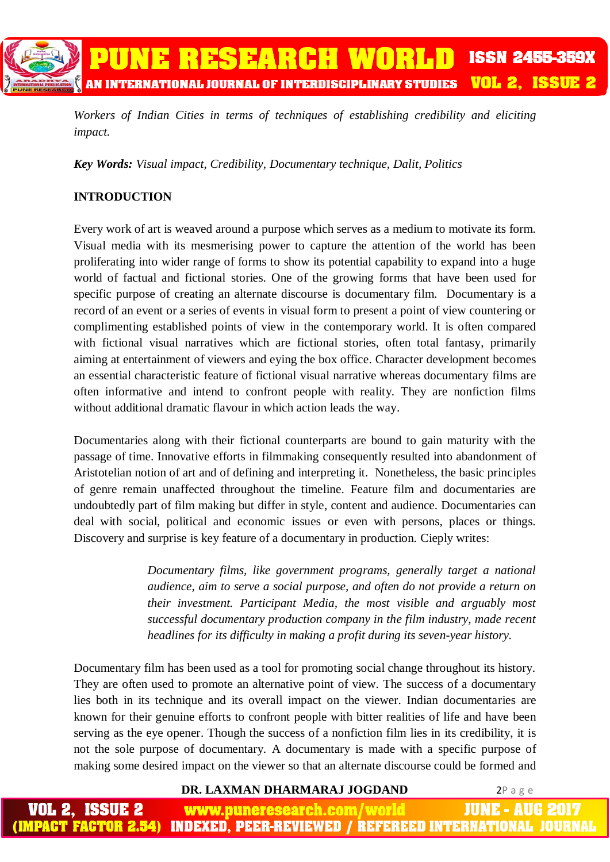

*Workers of Indian Cities in terms of techniques of establishing credibility and eliciting impact.*

*Key Words: Visual impact, Credibility, Documentary technique, Dalit, Politics*

# **INTRODUCTION**

Every work of art is weaved around a purpose which serves as a medium to motivate its form. Visual media with its mesmerising power to capture the attention of the world has been proliferating into wider range of forms to show its potential capability to expand into a huge world of factual and fictional stories. One of the growing forms that have been used for specific purpose of creating an alternate discourse is documentary film. Documentary is a record of an event or a series of events in visual form to present a point of view countering or complimenting established points of view in the contemporary world. It is often compared with fictional visual narratives which are fictional stories, often total fantasy, primarily aiming at entertainment of viewers and eying the box office. Character development becomes an essential characteristic feature of fictional visual narrative whereas documentary films are often informative and intend to confront people with reality. They are nonfiction films without additional dramatic flavour in which action leads the way.

Documentaries along with their fictional counterparts are bound to gain maturity with the passage of time. Innovative efforts in filmmaking consequently resulted into abandonment of Aristotelian notion of art and of defining and interpreting it. Nonetheless, the basic principles of genre remain unaffected throughout the timeline. Feature film and documentaries are undoubtedly part of film making but differ in style, content and audience. Documentaries can deal with social, political and economic issues or even with persons, places or things. Discovery and surprise is key feature of a documentary in production. Cieply writes:

> *Documentary films, like government programs, generally target a national audience, aim to serve a social purpose, and often do not provide a return on their investment. Participant Media, the most visible and arguably most successful documentary production company in the film industry, made recent headlines for its difficulty in making a profit during its seven-year history.*

Documentary film has been used as a tool for promoting social change throughout its history. They are often used to promote an alternative point of view. The success of a documentary lies both in its technique and its overall impact on the viewer. Indian documentaries are known for their genuine efforts to confront people with bitter realities of life and have been serving as the eye opener. Though the success of a nonfiction film lies in its credibility, it is not the sole purpose of documentary. A documentary is made with a specific purpose of making some desired impact on the viewer so that an alternate discourse could be formed and

#### **DR. LAXMAN DHARMARAJ JOGDAND** 2P a g e

JUNE - AUG 2 ISSUE 2 www.puneresearch.com/world IMPACT FACTOR 2.54) **INDEXED. PEER-REVIEWED / REFEREED INTERNATIONAL JOU**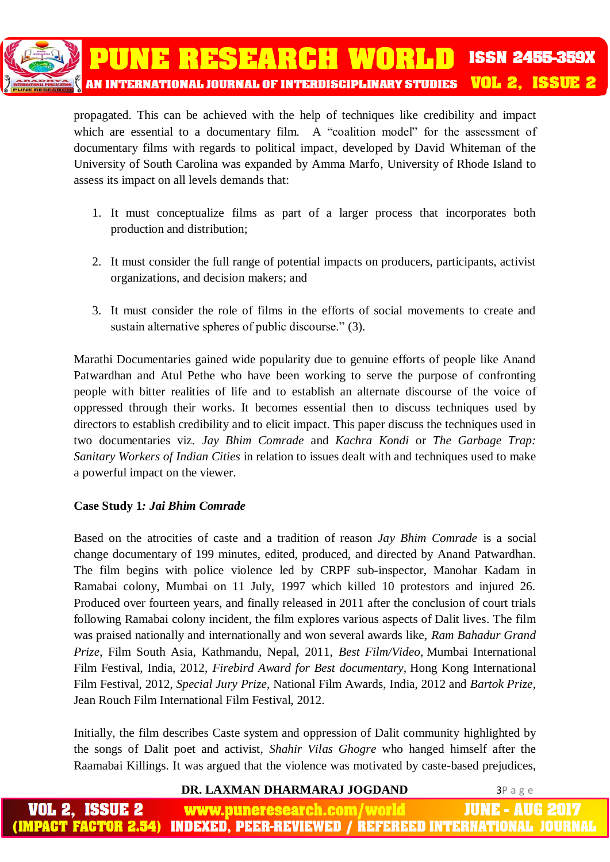

propagated. This can be achieved with the help of techniques like credibility and impact which are essential to a documentary film. A "coalition model" for the assessment of documentary films with regards to political impact, developed by David Whiteman of the University of South Carolina was expanded by Amma Marfo, University of Rhode Island to assess its impact on all levels demands that:

- 1. It must conceptualize films as part of a larger process that incorporates both production and distribution;
- 2. It must consider the full range of potential impacts on producers, participants, activist organizations, and decision makers; and
- 3. It must consider the role of films in the efforts of social movements to create and sustain alternative spheres of public discourse." (3).

Marathi Documentaries gained wide popularity due to genuine efforts of people like Anand Patwardhan and Atul Pethe who have been working to serve the purpose of confronting people with bitter realities of life and to establish an alternate discourse of the voice of oppressed through their works. It becomes essential then to discuss techniques used by directors to establish credibility and to elicit impact. This paper discuss the techniques used in two documentaries viz. *Jay Bhim Comrade* and *Kachra Kondi* or *The Garbage Trap: Sanitary Workers of Indian Cities* in relation to issues dealt with and techniques used to make a powerful impact on the viewer.

# **Case Study 1***: Jai Bhim Comrade*

Based on the atrocities of caste and a tradition of reason *Jay Bhim Comrade* is a social change documentary of 199 minutes, edited, produced, and directed by Anand Patwardhan. The film begins with police violence led by CRPF sub-inspector, Manohar Kadam in Ramabai colony, Mumbai on 11 July, 1997 which killed 10 protestors and injured 26. Produced over fourteen years, and finally released in 2011 after the conclusion of court trials following Ramabai colony incident, the film explores various aspects of Dalit lives. The film was praised nationally and internationally and won several awards like, *Ram Bahadur Grand Prize*, Film South Asia, Kathmandu, Nepal, 2011, *Best Film/Video*, Mumbai International Film Festival, India, 2012, *Firebird Award for Best documentary*, Hong Kong International Film Festival, 2012, *Special Jury Prize*, National Film Awards, India, 2012 and *Bartok Prize*, Jean Rouch Film International Film Festival, 2012.

Initially, the film describes Caste system and oppression of Dalit community highlighted by the songs of Dalit poet and activist, *Shahir Vilas Ghogre* who hanged himself after the Raamabai Killings. It was argued that the violence was motivated by caste-based prejudices,

**DR. LAXMAN DHARMARAJ JOGDAND** 3P a g e

**www.puneresearch.com/** IUNE - AUG ACT FACTOR 2.54) INDEXED. PEER-REVIEWED / REFEREED INTERNATIONAL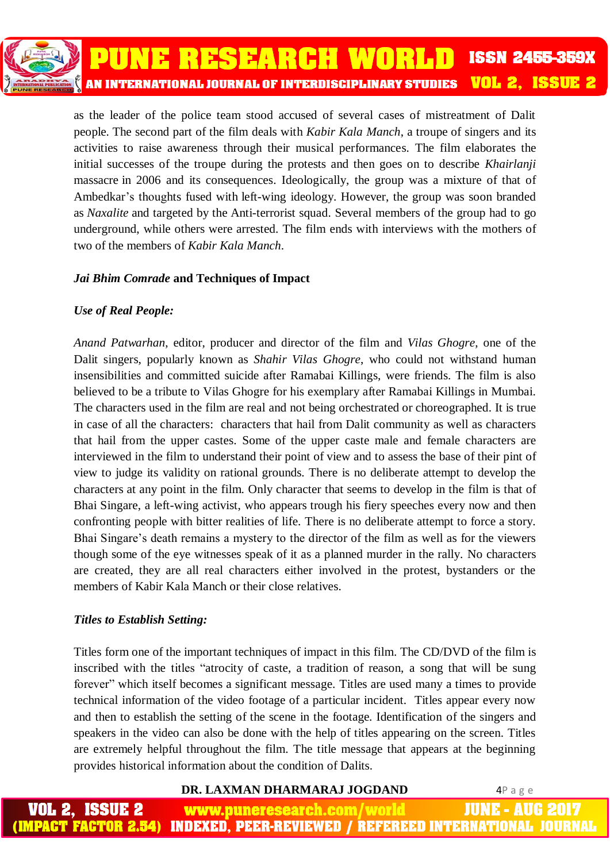as the leader of the police team stood accused of several cases of mistreatment of Dalit people. The second part of the film deals with *Kabir Kala Manch*, a troupe of singers and its activities to raise awareness through their musical performances. The film elaborates the initial successes of the troupe during the protests and then goes on to describe *Khairlanji*  massacre in 2006 and its consequences. Ideologically, the group was a mixture of that of Ambedkar's thoughts fused with left-wing ideology. However, the group was soon branded as *Naxalite* and targeted by the Anti-terrorist squad. Several members of the group had to go underground, while others were arrested. The film ends with interviews with the mothers of two of the members of *Kabir Kala Manch*.

# *Jai Bhim Comrade* **and Techniques of Impact**

# *Use of Real People:*

*Anand Patwarhan*, editor, producer and director of the film and *Vilas Ghogre*, one of the Dalit singers, popularly known as *Shahir Vilas Ghogre*, who could not withstand human insensibilities and committed suicide after Ramabai Killings, were friends. The film is also believed to be a tribute to Vilas Ghogre for his exemplary after Ramabai Killings in Mumbai. The characters used in the film are real and not being orchestrated or choreographed. It is true in case of all the characters: characters that hail from Dalit community as well as characters that hail from the upper castes. Some of the upper caste male and female characters are interviewed in the film to understand their point of view and to assess the base of their pint of view to judge its validity on rational grounds. There is no deliberate attempt to develop the characters at any point in the film. Only character that seems to develop in the film is that of Bhai Singare, a left-wing activist, who appears trough his fiery speeches every now and then confronting people with bitter realities of life. There is no deliberate attempt to force a story. Bhai Singare's death remains a mystery to the director of the film as well as for the viewers though some of the eye witnesses speak of it as a planned murder in the rally. No characters are created, they are all real characters either involved in the protest, bystanders or the members of Kabir Kala Manch or their close relatives.

# *Titles to Establish Setting:*

Titles form one of the important techniques of impact in this film. The CD/DVD of the film is inscribed with the titles "atrocity of caste, a tradition of reason, a song that will be sung forever" which itself becomes a significant message. Titles are used many a times to provide technical information of the video footage of a particular incident. Titles appear every now and then to establish the setting of the scene in the footage. Identification of the singers and speakers in the video can also be done with the help of titles appearing on the screen. Titles are extremely helpful throughout the film. The title message that appears at the beginning provides historical information about the condition of Dalits.

#### **DR. LAXMAN DHARMARAJ JOGDAND** 4P a g e

JUNE - AUG **www.puneresearch.com/ IMPACT FACTOR 2.54) INDEXED. PEER-REVIEWED / REFEREED INTERNATIONAL**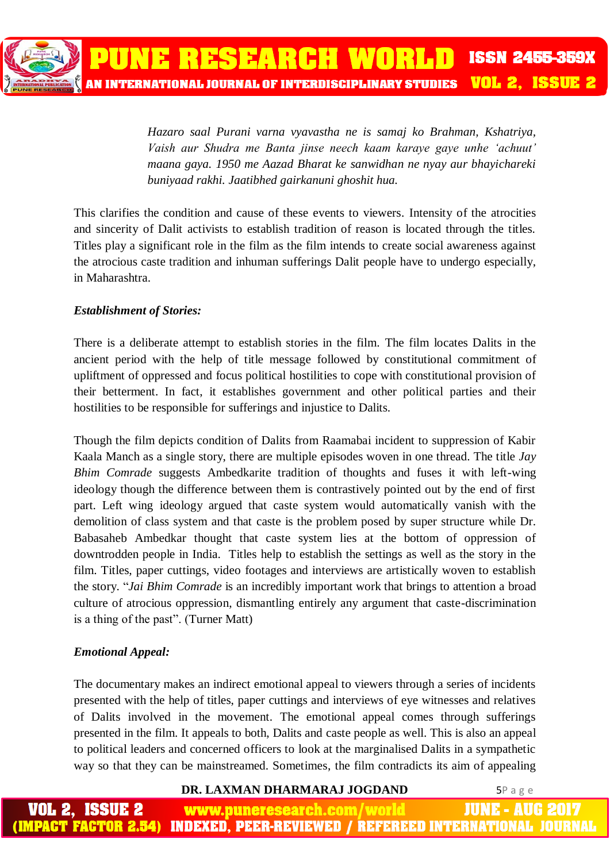*Hazaro saal Purani varna vyavastha ne is samaj ko Brahman, Kshatriya, Vaish aur Shudra me Banta jinse neech kaam karaye gaye unhe 'achuut' maana gaya. 1950 me Aazad Bharat ke sanwidhan ne nyay aur bhayichareki buniyaad rakhi. Jaatibhed gairkanuni ghoshit hua.* 

This clarifies the condition and cause of these events to viewers*.* Intensity of the atrocities and sincerity of Dalit activists to establish tradition of reason is located through the titles. Titles play a significant role in the film as the film intends to create social awareness against the atrocious caste tradition and inhuman sufferings Dalit people have to undergo especially, in Maharashtra.

# *Establishment of Stories:*

There is a deliberate attempt to establish stories in the film. The film locates Dalits in the ancient period with the help of title message followed by constitutional commitment of upliftment of oppressed and focus political hostilities to cope with constitutional provision of their betterment. In fact, it establishes government and other political parties and their hostilities to be responsible for sufferings and injustice to Dalits.

Though the film depicts condition of Dalits from Raamabai incident to suppression of Kabir Kaala Manch as a single story, there are multiple episodes woven in one thread. The title *Jay Bhim Comrade* suggests Ambedkarite tradition of thoughts and fuses it with left-wing ideology though the difference between them is contrastively pointed out by the end of first part. Left wing ideology argued that caste system would automatically vanish with the demolition of class system and that caste is the problem posed by super structure while Dr. Babasaheb Ambedkar thought that caste system lies at the bottom of oppression of downtrodden people in India. Titles help to establish the settings as well as the story in the film. Titles, paper cuttings, video footages and interviews are artistically woven to establish the story. "*Jai Bhim Comrade* is an incredibly important work that brings to attention a broad culture of atrocious oppression, dismantling entirely any argument that caste-discrimination is a thing of the past". (Turner Matt)

# *Emotional Appeal:*

The documentary makes an indirect emotional appeal to viewers through a series of incidents presented with the help of titles, paper cuttings and interviews of eye witnesses and relatives of Dalits involved in the movement. The emotional appeal comes through sufferings presented in the film. It appeals to both, Dalits and caste people as well. This is also an appeal to political leaders and concerned officers to look at the marginalised Dalits in a sympathetic way so that they can be mainstreamed. Sometimes, the film contradicts its aim of appealing

#### **DR. LAXMAN DHARMARAJ JOGDAND** 5P a g e

IUNE - AUG www.puneresearch.com/world PACT FACTOR 2.54) INDEXED. PEER-REVIEWED / REFEREED INTERNATIONAL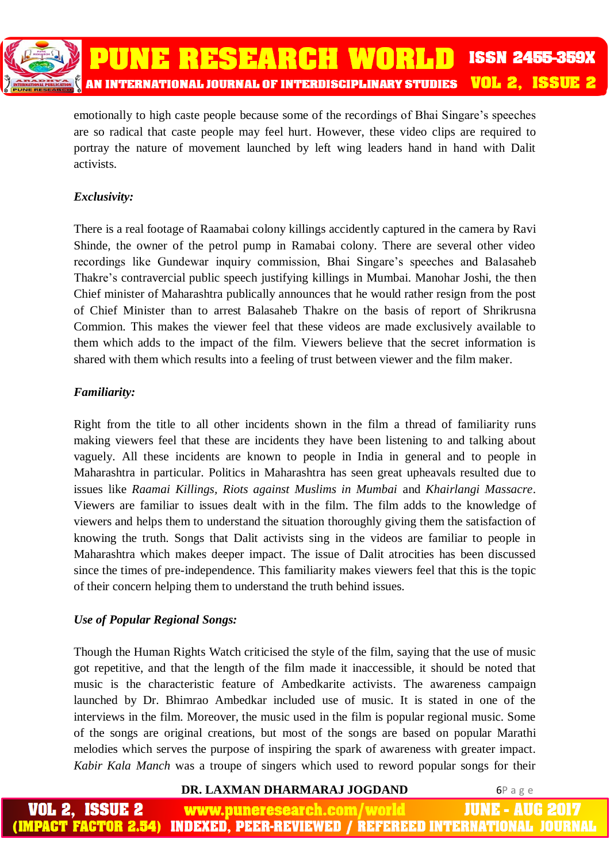

emotionally to high caste people because some of the recordings of Bhai Singare's speeches are so radical that caste people may feel hurt. However, these video clips are required to portray the nature of movement launched by left wing leaders hand in hand with Dalit activists.

# *Exclusivity:*

There is a real footage of Raamabai colony killings accidently captured in the camera by Ravi Shinde, the owner of the petrol pump in Ramabai colony. There are several other video recordings like Gundewar inquiry commission, Bhai Singare's speeches and Balasaheb Thakre's contravercial public speech justifying killings in Mumbai. Manohar Joshi, the then Chief minister of Maharashtra publically announces that he would rather resign from the post of Chief Minister than to arrest Balasaheb Thakre on the basis of report of Shrikrusna Commion. This makes the viewer feel that these videos are made exclusively available to them which adds to the impact of the film. Viewers believe that the secret information is shared with them which results into a feeling of trust between viewer and the film maker.

# *Familiarity:*

Right from the title to all other incidents shown in the film a thread of familiarity runs making viewers feel that these are incidents they have been listening to and talking about vaguely. All these incidents are known to people in India in general and to people in Maharashtra in particular. Politics in Maharashtra has seen great upheavals resulted due to issues like *Raamai Killings, Riots against Muslims in Mumbai* and *Khairlangi Massacre*. Viewers are familiar to issues dealt with in the film. The film adds to the knowledge of viewers and helps them to understand the situation thoroughly giving them the satisfaction of knowing the truth. Songs that Dalit activists sing in the videos are familiar to people in Maharashtra which makes deeper impact. The issue of Dalit atrocities has been discussed since the times of pre-independence. This familiarity makes viewers feel that this is the topic of their concern helping them to understand the truth behind issues.

#### *Use of Popular Regional Songs:*

Though the Human Rights Watch criticised the style of the film, saying that the use of music got repetitive, and that the length of the film made it inaccessible, it should be noted that music is the characteristic feature of Ambedkarite activists. The awareness campaign launched by Dr. Bhimrao Ambedkar included use of music. It is stated in one of the interviews in the film. Moreover, the music used in the film is popular regional music. Some of the songs are original creations, but most of the songs are based on popular Marathi melodies which serves the purpose of inspiring the spark of awareness with greater impact. *Kabir Kala Manch* was a troupe of singers which used to reword popular songs for their

#### **DR. LAXMAN DHARMARAJ JOGDAND** 6P a g e

JUNE - AUG www.puneresearch.com/ (PACT FACTOR 2.54 INDEXED. PEER-REVIEWED / REFEREED INTERNATIONAL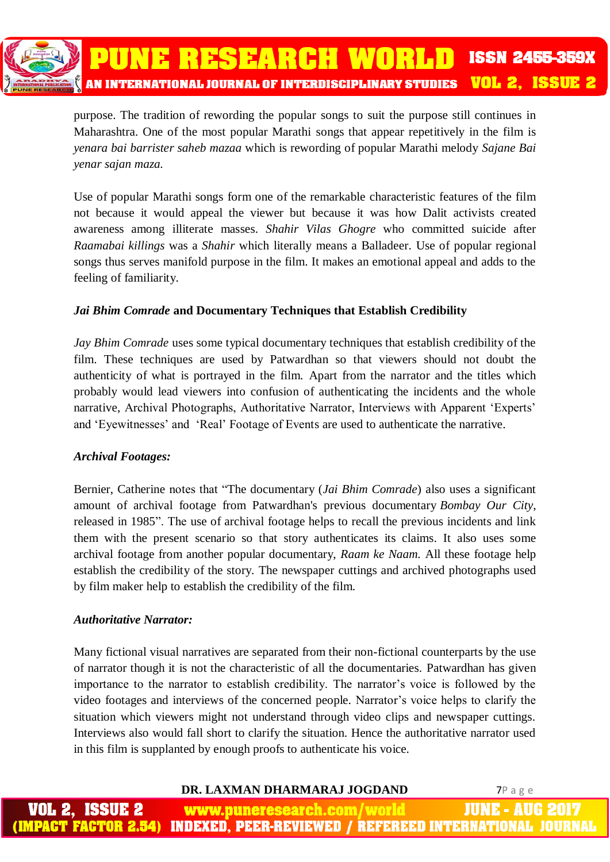

purpose. The tradition of rewording the popular songs to suit the purpose still continues in Maharashtra. One of the most popular Marathi songs that appear repetitively in the film is *yenara bai barrister saheb mazaa* which is rewording of popular Marathi melody *Sajane Bai yenar sajan maza.* 

Use of popular Marathi songs form one of the remarkable characteristic features of the film not because it would appeal the viewer but because it was how Dalit activists created awareness among illiterate masses. *Shahir Vilas Ghogre* who committed suicide after *Raamabai killings* was a *Shahir* which literally means a Balladeer. Use of popular regional songs thus serves manifold purpose in the film. It makes an emotional appeal and adds to the feeling of familiarity.

# *Jai Bhim Comrade* **and Documentary Techniques that Establish Credibility**

*Jay Bhim Comrade* uses some typical documentary techniques that establish credibility of the film. These techniques are used by Patwardhan so that viewers should not doubt the authenticity of what is portrayed in the film. Apart from the narrator and the titles which probably would lead viewers into confusion of authenticating the incidents and the whole narrative, Archival Photographs, Authoritative Narrator, Interviews with Apparent 'Experts' and 'Eyewitnesses' and 'Real' Footage of Events are used to authenticate the narrative.

#### *Archival Footages:*

Bernier, Catherine notes that "The documentary (*Jai Bhim Comrade*) also uses a significant amount of archival footage from Patwardhan's previous documentary *Bombay Our City*, released in 1985". The use of archival footage helps to recall the previous incidents and link them with the present scenario so that story authenticates its claims. It also uses some archival footage from another popular documentary, *Raam ke Naam.* All these footage help establish the credibility of the story*.* The newspaper cuttings and archived photographs used by film maker help to establish the credibility of the film.

#### *Authoritative Narrator:*

Many fictional visual narratives are separated from their non-fictional counterparts by the use of narrator though it is not the characteristic of all the documentaries. Patwardhan has given importance to the narrator to establish credibility. The narrator's voice is followed by the video footages and interviews of the concerned people. Narrator's voice helps to clarify the situation which viewers might not understand through video clips and newspaper cuttings. Interviews also would fall short to clarify the situation. Hence the authoritative narrator used in this film is supplanted by enough proofs to authenticate his voice.

#### **DR. LAXMAN DHARMARAJ JOGDAND** 7P a g e

www.puneresearch.com/world INDEXED. PEER-REVIEWED / REFEREED INTERNATIONAL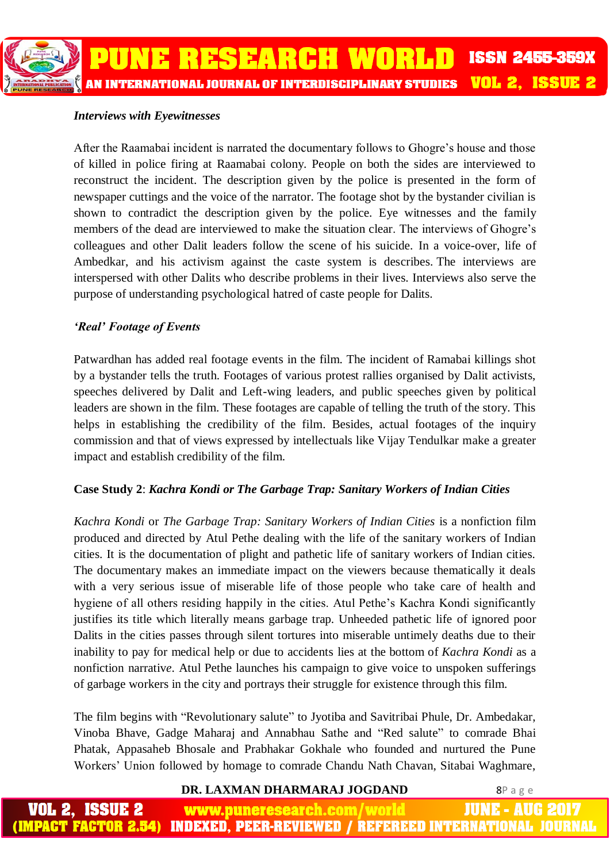### *Interviews with Eyewitnesses*

After the Raamabai incident is narrated the documentary follows to Ghogre's house and those of killed in police firing at Raamabai colony. People on both the sides are interviewed to reconstruct the incident. The description given by the police is presented in the form of newspaper cuttings and the voice of the narrator. The footage shot by the bystander civilian is shown to contradict the description given by the police. Eye witnesses and the family members of the dead are interviewed to make the situation clear. The interviews of Ghogre's colleagues and other Dalit leaders follow the scene of his suicide. In a voice-over, life of Ambedkar, and his activism against the caste system is describes. The interviews are interspersed with other Dalits who describe problems in their lives. Interviews also serve the purpose of understanding psychological hatred of caste people for Dalits.

# *'Real' Footage of Events*

Patwardhan has added real footage events in the film. The incident of Ramabai killings shot by a bystander tells the truth. Footages of various protest rallies organised by Dalit activists, speeches delivered by Dalit and Left-wing leaders, and public speeches given by political leaders are shown in the film. These footages are capable of telling the truth of the story. This helps in establishing the credibility of the film. Besides, actual footages of the inquiry commission and that of views expressed by intellectuals like Vijay Tendulkar make a greater impact and establish credibility of the film.

# **Case Study 2**: *Kachra Kondi or The Garbage Trap: Sanitary Workers of Indian Cities*

*Kachra Kondi* or *The Garbage Trap: Sanitary Workers of Indian Cities* is a nonfiction film produced and directed by Atul Pethe dealing with the life of the sanitary workers of Indian cities. It is the documentation of plight and pathetic life of sanitary workers of Indian cities. The documentary makes an immediate impact on the viewers because thematically it deals with a very serious issue of miserable life of those people who take care of health and hygiene of all others residing happily in the cities. Atul Pethe's Kachra Kondi significantly justifies its title which literally means garbage trap. Unheeded pathetic life of ignored poor Dalits in the cities passes through silent tortures into miserable untimely deaths due to their inability to pay for medical help or due to accidents lies at the bottom of *Kachra Kondi* as a nonfiction narrativ*e*. Atul Pethe launches his campaign to give voice to unspoken sufferings of garbage workers in the city and portrays their struggle for existence through this film.

The film begins with "Revolutionary salute" to Jyotiba and Savitribai Phule, Dr. Ambedakar, Vinoba Bhave, Gadge Maharaj and Annabhau Sathe and "Red salute" to comrade Bhai Phatak, Appasaheb Bhosale and Prabhakar Gokhale who founded and nurtured the Pune Workers' Union followed by homage to comrade Chandu Nath Chavan, Sitabai Waghmare,

#### **DR. LAXMAN DHARMARAJ JOGDAND** 8P a g e

ISSUE 2 JUNE - AUG www.puneresearch.com/world **INDEXED. PEER-REVIEWED / REFEREED INTERNATIONAL** PACT FACTOR 2.54)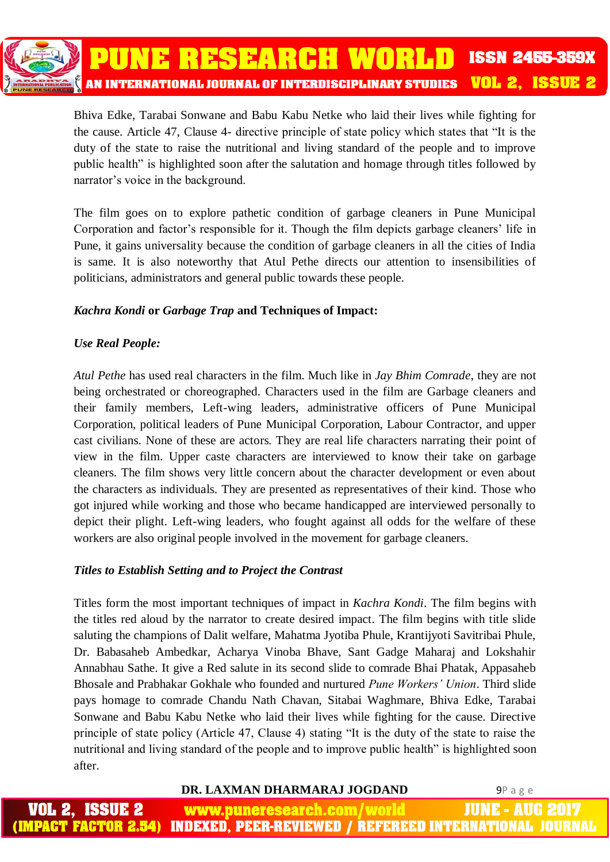

Bhiva Edke, Tarabai Sonwane and Babu Kabu Netke who laid their lives while fighting for the cause. Article 47, Clause 4- directive principle of state policy which states that "It is the duty of the state to raise the nutritional and living standard of the people and to improve public health" is highlighted soon after the salutation and homage through titles followed by narrator's voice in the background.

The film goes on to explore pathetic condition of garbage cleaners in Pune Municipal Corporation and factor's responsible for it. Though the film depicts garbage cleaners' life in Pune, it gains universality because the condition of garbage cleaners in all the cities of India is same. It is also noteworthy that Atul Pethe directs our attention to insensibilities of politicians, administrators and general public towards these people.

# *Kachra Kondi* **or** *Garbage Trap* **and Techniques of Impact:**

# *Use Real People:*

*Atul Pethe* has used real characters in the film. Much like in *Jay Bhim Comrade*, they are not being orchestrated or choreographed. Characters used in the film are Garbage cleaners and their family members, Left-wing leaders, administrative officers of Pune Municipal Corporation, political leaders of Pune Municipal Corporation, Labour Contractor, and upper cast civilians. None of these are actors. They are real life characters narrating their point of view in the film. Upper caste characters are interviewed to know their take on garbage cleaners. The film shows very little concern about the character development or even about the characters as individuals. They are presented as representatives of their kind. Those who got injured while working and those who became handicapped are interviewed personally to depict their plight. Left-wing leaders, who fought against all odds for the welfare of these workers are also original people involved in the movement for garbage cleaners.

# *Titles to Establish Setting and to Project the Contrast*

Titles form the most important techniques of impact in *Kachra Kondi*. The film begins with the titles red aloud by the narrator to create desired impact. The film begins with title slide saluting the champions of Dalit welfare, Mahatma Jyotiba Phule, Krantijyoti Savitribai Phule, Dr. Babasaheb Ambedkar, Acharya Vinoba Bhave, Sant Gadge Maharaj and Lokshahir Annabhau Sathe. It give a Red salute in its second slide to comrade Bhai Phatak, Appasaheb Bhosale and Prabhakar Gokhale who founded and nurtured *Pune Workers' Union*. Third slide pays homage to comrade Chandu Nath Chavan, Sitabai Waghmare, Bhiva Edke, Tarabai Sonwane and Babu Kabu Netke who laid their lives while fighting for the cause. Directive principle of state policy (Article 47, Clause 4) stating "It is the duty of the state to raise the nutritional and living standard of the people and to improve public health" is highlighted soon after.

#### **DR. LAXMAN DHARMARAJ JOGDAND** 9P a g e

JUNE - AUG www.puneresearch.com/world (PACT FACTOR 2.54) INDEXED. PEER-REVIEWED / REFEREED INTERNATIONAL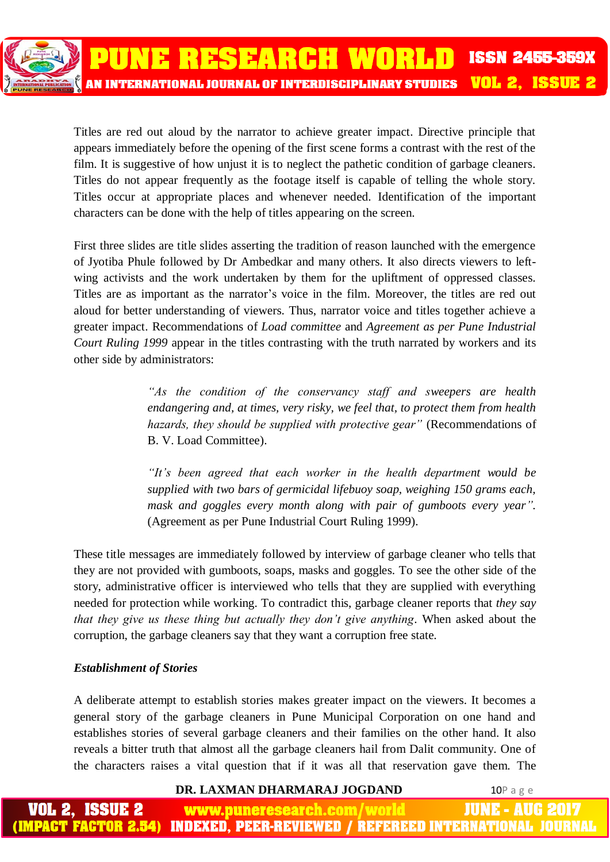Titles are red out aloud by the narrator to achieve greater impact. Directive principle that appears immediately before the opening of the first scene forms a contrast with the rest of the film. It is suggestive of how unjust it is to neglect the pathetic condition of garbage cleaners. Titles do not appear frequently as the footage itself is capable of telling the whole story. Titles occur at appropriate places and whenever needed. Identification of the important characters can be done with the help of titles appearing on the screen.

First three slides are title slides asserting the tradition of reason launched with the emergence of Jyotiba Phule followed by Dr Ambedkar and many others. It also directs viewers to leftwing activists and the work undertaken by them for the upliftment of oppressed classes. Titles are as important as the narrator's voice in the film. Moreover, the titles are red out aloud for better understanding of viewers. Thus, narrator voice and titles together achieve a greater impact. Recommendations of *Load committee* and *Agreement as per Pune Industrial Court Ruling 1999* appear in the titles contrasting with the truth narrated by workers and its other side by administrators:

> *"As the condition of the conservancy staff and sweepers are health endangering and, at times, very risky, we feel that, to protect them from health hazards, they should be supplied with protective gear"* (Recommendations of B. V. Load Committee).

> *"It's been agreed that each worker in the health department would be supplied with two bars of germicidal lifebuoy soap, weighing 150 grams each, mask and goggles every month along with pair of gumboots every year".* (Agreement as per Pune Industrial Court Ruling 1999).

These title messages are immediately followed by interview of garbage cleaner who tells that they are not provided with gumboots, soaps, masks and goggles. To see the other side of the story, administrative officer is interviewed who tells that they are supplied with everything needed for protection while working. To contradict this, garbage cleaner reports that *they say that they give us these thing but actually they don't give anything*. When asked about the corruption, the garbage cleaners say that they want a corruption free state.

# *Establishment of Stories*

A deliberate attempt to establish stories makes greater impact on the viewers. It becomes a general story of the garbage cleaners in Pune Municipal Corporation on one hand and establishes stories of several garbage cleaners and their families on the other hand. It also reveals a bitter truth that almost all the garbage cleaners hail from Dalit community. One of the characters raises a vital question that if it was all that reservation gave them. The

#### **DR. LAXMAN DHARMARAJ JOGDAND 10P a g e**

**www.puneresearch.com/** IUNE - AUG **PACT FACTOR 2.54)** INDEXED. PEER-REVIEWED / REFEREED INTERNATIONAL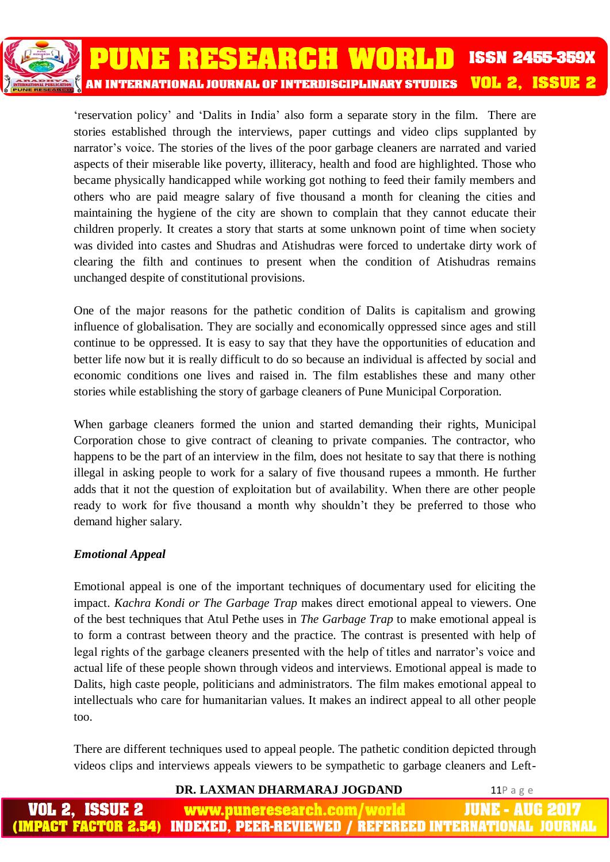'reservation policy' and 'Dalits in India' also form a separate story in the film. There are stories established through the interviews, paper cuttings and video clips supplanted by narrator's voice. The stories of the lives of the poor garbage cleaners are narrated and varied aspects of their miserable like poverty, illiteracy, health and food are highlighted. Those who became physically handicapped while working got nothing to feed their family members and others who are paid meagre salary of five thousand a month for cleaning the cities and maintaining the hygiene of the city are shown to complain that they cannot educate their children properly. It creates a story that starts at some unknown point of time when society was divided into castes and Shudras and Atishudras were forced to undertake dirty work of clearing the filth and continues to present when the condition of Atishudras remains unchanged despite of constitutional provisions.

One of the major reasons for the pathetic condition of Dalits is capitalism and growing influence of globalisation. They are socially and economically oppressed since ages and still continue to be oppressed. It is easy to say that they have the opportunities of education and better life now but it is really difficult to do so because an individual is affected by social and economic conditions one lives and raised in. The film establishes these and many other stories while establishing the story of garbage cleaners of Pune Municipal Corporation.

When garbage cleaners formed the union and started demanding their rights, Municipal Corporation chose to give contract of cleaning to private companies. The contractor, who happens to be the part of an interview in the film, does not hesitate to say that there is nothing illegal in asking people to work for a salary of five thousand rupees a mmonth. He further adds that it not the question of exploitation but of availability. When there are other people ready to work for five thousand a month why shouldn't they be preferred to those who demand higher salary.

# *Emotional Appeal*

Emotional appeal is one of the important techniques of documentary used for eliciting the impact. *Kachra Kondi or The Garbage Trap* makes direct emotional appeal to viewers. One of the best techniques that Atul Pethe uses in *The Garbage Trap* to make emotional appeal is to form a contrast between theory and the practice. The contrast is presented with help of legal rights of the garbage cleaners presented with the help of titles and narrator's voice and actual life of these people shown through videos and interviews. Emotional appeal is made to Dalits, high caste people, politicians and administrators. The film makes emotional appeal to intellectuals who care for humanitarian values. It makes an indirect appeal to all other people too.

There are different techniques used to appeal people. The pathetic condition depicted through videos clips and interviews appeals viewers to be sympathetic to garbage cleaners and Left-

# **DR. LAXMAN DHARMARAJ JOGDAND 11P** a g e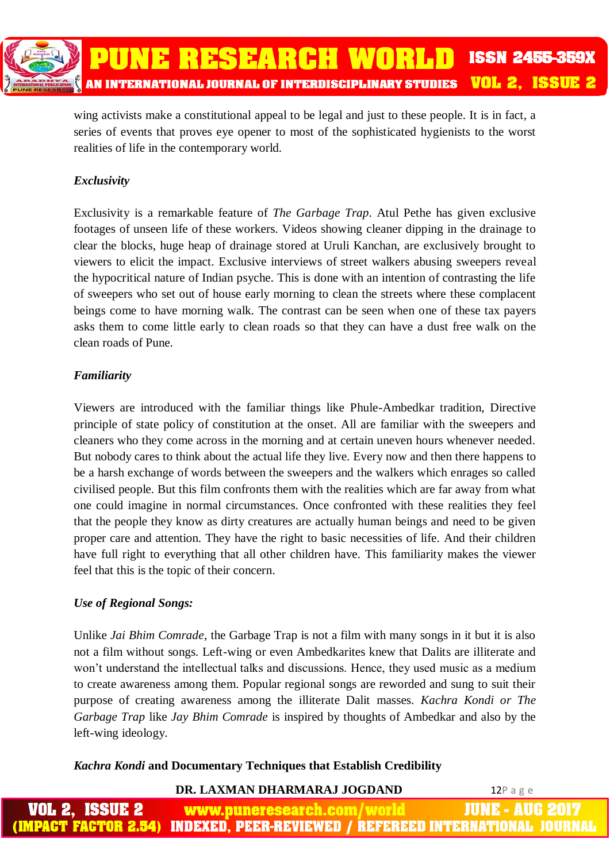wing activists make a constitutional appeal to be legal and just to these people. It is in fact, a series of events that proves eye opener to most of the sophisticated hygienists to the worst realities of life in the contemporary world.

# *Exclusivity*

Exclusivity is a remarkable feature of *The Garbage Trap*. Atul Pethe has given exclusive footages of unseen life of these workers. Videos showing cleaner dipping in the drainage to clear the blocks, huge heap of drainage stored at Uruli Kanchan, are exclusively brought to viewers to elicit the impact. Exclusive interviews of street walkers abusing sweepers reveal the hypocritical nature of Indian psyche. This is done with an intention of contrasting the life of sweepers who set out of house early morning to clean the streets where these complacent beings come to have morning walk. The contrast can be seen when one of these tax payers asks them to come little early to clean roads so that they can have a dust free walk on the clean roads of Pune.

# *Familiarity*

Viewers are introduced with the familiar things like Phule-Ambedkar tradition, Directive principle of state policy of constitution at the onset. All are familiar with the sweepers and cleaners who they come across in the morning and at certain uneven hours whenever needed. But nobody cares to think about the actual life they live. Every now and then there happens to be a harsh exchange of words between the sweepers and the walkers which enrages so called civilised people. But this film confronts them with the realities which are far away from what one could imagine in normal circumstances. Once confronted with these realities they feel that the people they know as dirty creatures are actually human beings and need to be given proper care and attention. They have the right to basic necessities of life. And their children have full right to everything that all other children have. This familiarity makes the viewer feel that this is the topic of their concern.

# *Use of Regional Songs:*

Unlike *Jai Bhim Comrade*, the Garbage Trap is not a film with many songs in it but it is also not a film without songs. Left-wing or even Ambedkarites knew that Dalits are illiterate and won't understand the intellectual talks and discussions. Hence, they used music as a medium to create awareness among them. Popular regional songs are reworded and sung to suit their purpose of creating awareness among the illiterate Dalit masses. *Kachra Kondi or The Garbage Trap* like *Jay Bhim Comrade* is inspired by thoughts of Ambedkar and also by the left-wing ideology.

# *Kachra Kondi* **and Documentary Techniques that Establish Credibility**

# **DR. LAXMAN DHARMARAJ JOGDAND 12P a g e**

| <b>VOL 2, ISSUE 2</b> | www.puneresearch.com/world | <b>JUNE - AUG 2017</b>                                                       |
|-----------------------|----------------------------|------------------------------------------------------------------------------|
|                       |                            | (IMPACT FACTOR 2.54) INDEXED, PEER-REVIEWED / REFEREED INTERNATIONAL JOURNAL |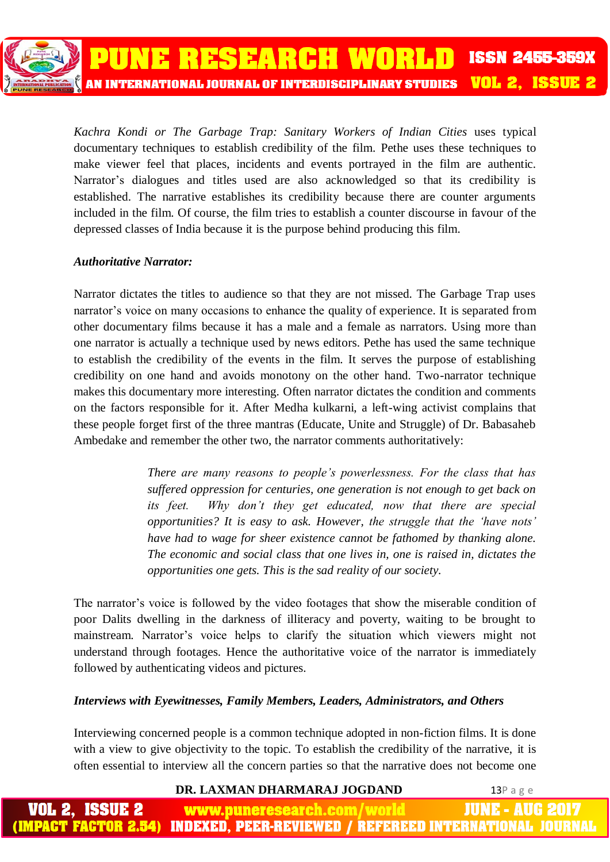*Kachra Kondi or The Garbage Trap: Sanitary Workers of Indian Cities* uses typical documentary techniques to establish credibility of the film. Pethe uses these techniques to make viewer feel that places, incidents and events portrayed in the film are authentic. Narrator's dialogues and titles used are also acknowledged so that its credibility is established. The narrative establishes its credibility because there are counter arguments

included in the film. Of course, the film tries to establish a counter discourse in favour of the

depressed classes of India because it is the purpose behind producing this film.

PUNE RESEARCH WORLD

AN INTERNATIONAL JOURNAL OF INTERDISCIPLINARY STUDIES

#### *Authoritative Narrator:*

Narrator dictates the titles to audience so that they are not missed. The Garbage Trap uses narrator's voice on many occasions to enhance the quality of experience. It is separated from other documentary films because it has a male and a female as narrators. Using more than one narrator is actually a technique used by news editors. Pethe has used the same technique to establish the credibility of the events in the film. It serves the purpose of establishing credibility on one hand and avoids monotony on the other hand. Two-narrator technique makes this documentary more interesting. Often narrator dictates the condition and comments on the factors responsible for it. After Medha kulkarni, a left-wing activist complains that these people forget first of the three mantras (Educate, Unite and Struggle) of Dr. Babasaheb Ambedake and remember the other two, the narrator comments authoritatively:

> *There are many reasons to people's powerlessness. For the class that has suffered oppression for centuries, one generation is not enough to get back on its feet. Why don't they get educated, now that there are special opportunities? It is easy to ask. However, the struggle that the 'have nots' have had to wage for sheer existence cannot be fathomed by thanking alone. The economic and social class that one lives in, one is raised in, dictates the opportunities one gets. This is the sad reality of our society.*

The narrator's voice is followed by the video footages that show the miserable condition of poor Dalits dwelling in the darkness of illiteracy and poverty, waiting to be brought to mainstream. Narrator's voice helps to clarify the situation which viewers might not understand through footages. Hence the authoritative voice of the narrator is immediately followed by authenticating videos and pictures.

#### *Interviews with Eyewitnesses, Family Members, Leaders, Administrators, and Others*

Interviewing concerned people is a common technique adopted in non-fiction films. It is done with a view to give objectivity to the topic. To establish the credibility of the narrative, it is often essential to interview all the concern parties so that the narrative does not become one

**DR. LAXMAN DHARMARAJ JOGDAND** 13P a g e

**ISSN 2455-359X** 

**VOL 2. ISSUE 2** 

- AUG 2 ISSUE 2 www.puneresearch.com/ шля **IMPACT FACTOR 2.54) INDEXED. PEER-REVIEWED / REFEREED INTERNATIONAL JO**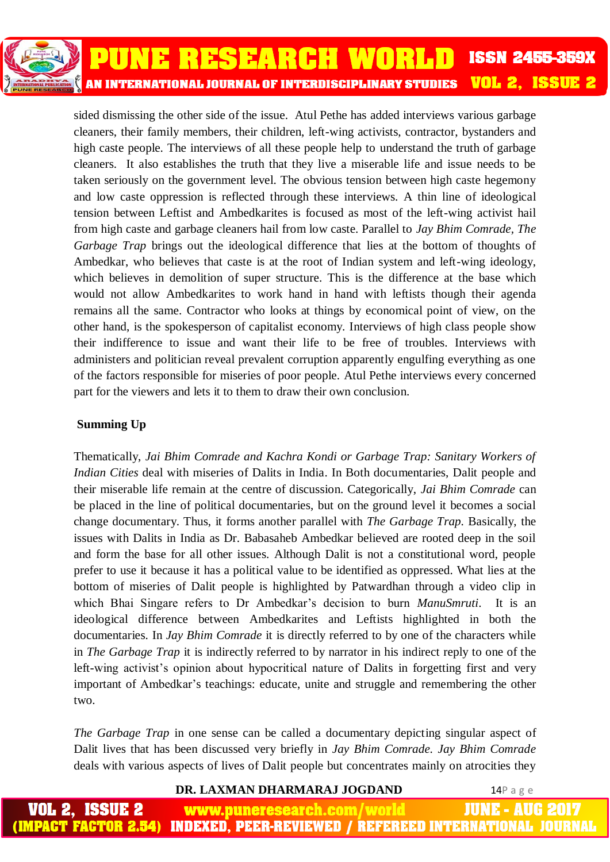

sided dismissing the other side of the issue. Atul Pethe has added interviews various garbage cleaners, their family members, their children, left-wing activists, contractor, bystanders and high caste people. The interviews of all these people help to understand the truth of garbage cleaners. It also establishes the truth that they live a miserable life and issue needs to be taken seriously on the government level. The obvious tension between high caste hegemony and low caste oppression is reflected through these interviews. A thin line of ideological tension between Leftist and Ambedkarites is focused as most of the left-wing activist hail from high caste and garbage cleaners hail from low caste. Parallel to *Jay Bhim Comrade, The Garbage Trap* brings out the ideological difference that lies at the bottom of thoughts of Ambedkar, who believes that caste is at the root of Indian system and left-wing ideology, which believes in demolition of super structure. This is the difference at the base which would not allow Ambedkarites to work hand in hand with leftists though their agenda remains all the same. Contractor who looks at things by economical point of view, on the other hand, is the spokesperson of capitalist economy. Interviews of high class people show their indifference to issue and want their life to be free of troubles. Interviews with administers and politician reveal prevalent corruption apparently engulfing everything as one of the factors responsible for miseries of poor people. Atul Pethe interviews every concerned part for the viewers and lets it to them to draw their own conclusion.

# **Summing Up**

Thematically, *Jai Bhim Comrade and Kachra Kondi or Garbage Trap: Sanitary Workers of Indian Cities* deal with miseries of Dalits in India. In Both documentaries, Dalit people and their miserable life remain at the centre of discussion. Categorically, *Jai Bhim Comrade* can be placed in the line of political documentaries, but on the ground level it becomes a social change documentary. Thus, it forms another parallel with *The Garbage Trap.* Basically, the issues with Dalits in India as Dr. Babasaheb Ambedkar believed are rooted deep in the soil and form the base for all other issues. Although Dalit is not a constitutional word, people prefer to use it because it has a political value to be identified as oppressed. What lies at the bottom of miseries of Dalit people is highlighted by Patwardhan through a video clip in which Bhai Singare refers to Dr Ambedkar's decision to burn *ManuSmruti*. It is an ideological difference between Ambedkarites and Leftists highlighted in both the documentaries. In *Jay Bhim Comrade* it is directly referred to by one of the characters while in *The Garbage Trap* it is indirectly referred to by narrator in his indirect reply to one of the left-wing activist's opinion about hypocritical nature of Dalits in forgetting first and very important of Ambedkar's teachings: educate, unite and struggle and remembering the other two.

*The Garbage Trap* in one sense can be called a documentary depicting singular aspect of Dalit lives that has been discussed very briefly in *Jay Bhim Comrade. Jay Bhim Comrade*  deals with various aspects of lives of Dalit people but concentrates mainly on atrocities they

#### **DR. LAXMAN DHARMARAJ JOGDAND** 14P a g e

JUNE - AUG 2017 VOL 2. ISSUE 2 www.puneresearch.com/ **IMPACT FACTOR 2.54)** <u>INDEXED, PEER-REVIEWED / REFEREED INTERNATIONAL JOU</u>